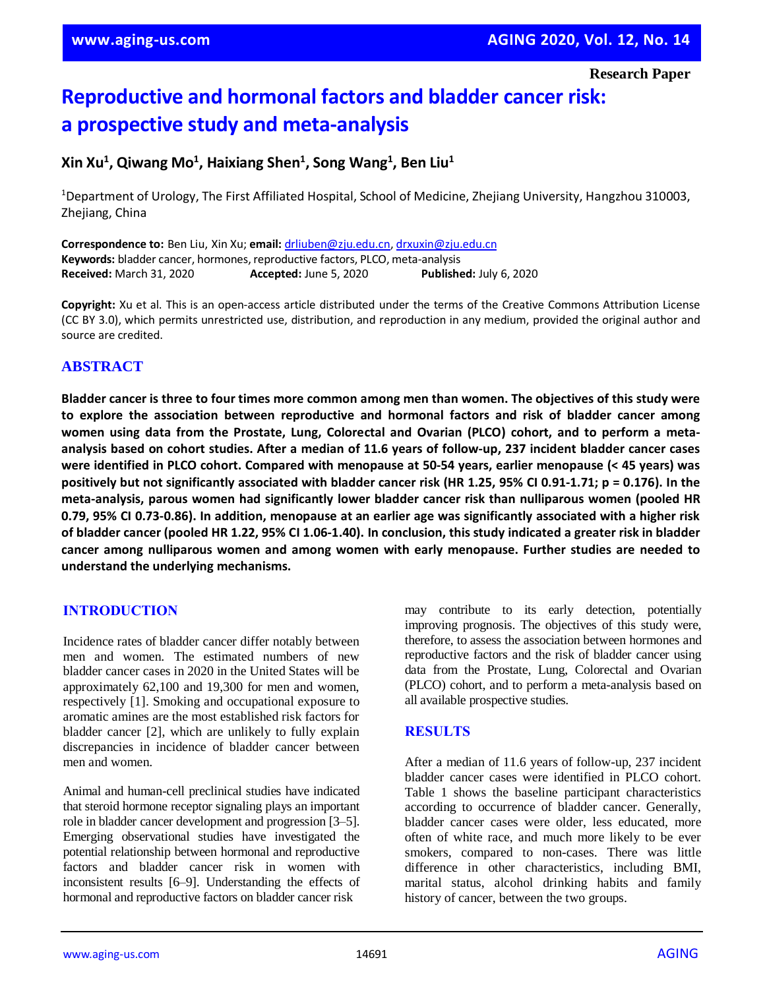**Research Paper**

# **Reproductive and hormonal factors and bladder cancer risk: a prospective study and meta-analysis**

# **Xin Xu<sup>1</sup> , Qiwang Mo<sup>1</sup> , Haixiang Shen<sup>1</sup> , Song Wang<sup>1</sup> , Ben Liu<sup>1</sup>**

<sup>1</sup>Department of Urology, The First Affiliated Hospital, School of Medicine, Zhejiang University, Hangzhou 310003, Zhejiang, China

**Correspondence to:** Ben Liu, Xin Xu; **email:** [drliuben@zju.edu.cn,](mailto:drliuben@zju.edu.cn) [drxuxin@zju.edu.cn](mailto:drxuxin@zju.edu.cn) **Keywords:** bladder cancer, hormones, reproductive factors, PLCO, meta-analysis **Received:** March 31, 2020 **Accepted:** June 5, 2020 **Published:** July 6, 2020

**Copyright:** Xu et al. This is an open-access article distributed under the terms of the Creative Commons Attribution License (CC BY 3.0), which permits unrestricted use, distribution, and reproduction in any medium, provided the original author and source are credited.

# **ABSTRACT**

Bladder cancer is three to four times more common among men than women. The objectives of this study were **to explore the association between reproductive and hormonal factors and risk of bladder cancer among women using data from the Prostate, Lung, Colorectal and Ovarian (PLCO) cohort, and to perform a meta**analysis based on cohort studies. After a median of 11.6 years of follow-up, 237 incident bladder cancer cases were identified in PLCO cohort. Compared with menopause at 50-54 years, earlier menopause (< 45 years) was positively but not significantly associated with bladder cancer risk (HR 1.25, 95% CI 0.91-1.71; p = 0.176). In the **meta-analysis, parous women had significantly lower bladder cancer risk than nulliparous women (pooled HR** 0.79, 95% CI 0.73-0.86). In addition, menopause at an earlier age was significantly associated with a higher risk of bladder cancer (pooled HR 1.22, 95% CI 1.06-1.40). In conclusion, this study indicated a greater risk in bladder **cancer among nulliparous women and among women with early menopause. Further studies are needed to understand the underlying mechanisms.**

## **INTRODUCTION**

Incidence rates of bladder cancer differ notably between men and women. The estimated numbers of new bladder cancer cases in 2020 in the United States will be approximately 62,100 and 19,300 for men and women, respectively [1]. Smoking and occupational exposure to aromatic amines are the most established risk factors for bladder cancer [2], which are unlikely to fully explain discrepancies in incidence of bladder cancer between men and women.

Animal and human-cell preclinical studies have indicated that steroid hormone receptor signaling plays an important role in bladder cancer development and progression [3–5]. Emerging observational studies have investigated the potential relationship between hormonal and reproductive factors and bladder cancer risk in women with inconsistent results [6–9]. Understanding the effects of hormonal and reproductive factors on bladder cancer risk

may contribute to its early detection, potentially improving prognosis. The objectives of this study were, therefore, to assess the association between hormones and reproductive factors and the risk of bladder cancer using data from the Prostate, Lung, Colorectal and Ovarian (PLCO) cohort, and to perform a meta-analysis based on all available prospective studies.

## **RESULTS**

After a median of 11.6 years of follow-up, 237 incident bladder cancer cases were identified in PLCO cohort. Table 1 shows the baseline participant characteristics according to occurrence of bladder cancer. Generally, bladder cancer cases were older, less educated, more often of white race, and much more likely to be ever smokers, compared to non-cases. There was little difference in other characteristics, including BMI, marital status, alcohol drinking habits and family history of cancer, between the two groups.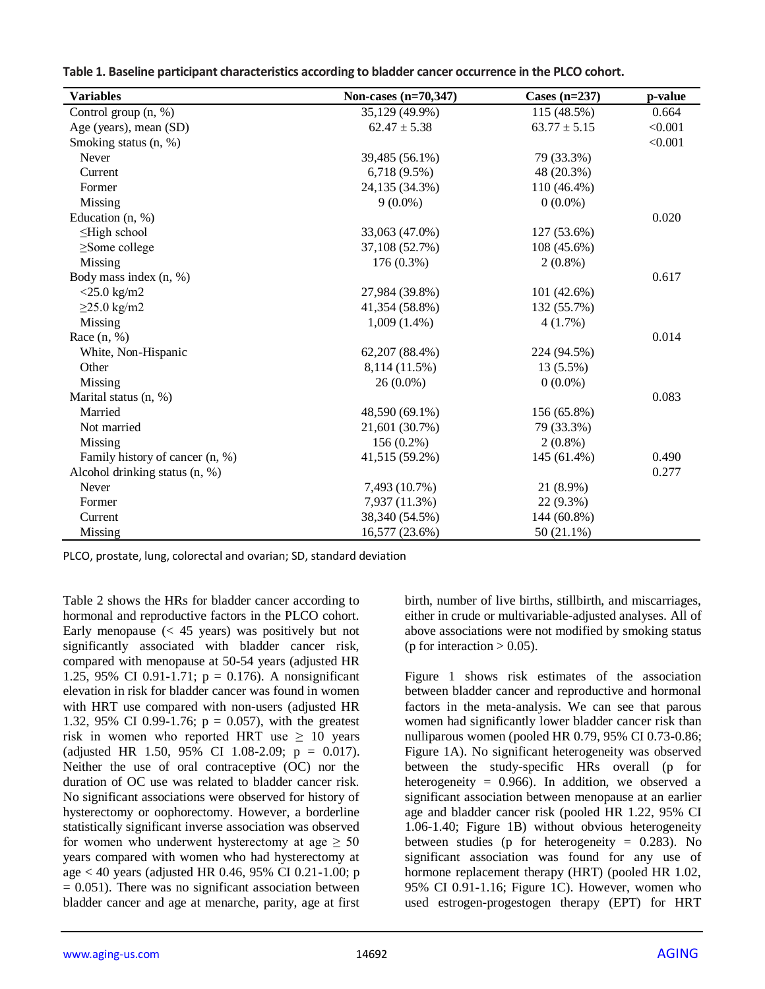**Table 1. Baseline participant characteristics according to bladder cancer occurrence in the PLCO cohort.**

| <b>Variables</b>                | Non-cases (n=70,347) | Cases $(n=237)$  | p-value |
|---------------------------------|----------------------|------------------|---------|
| Control group (n, %)            | 35,129 (49.9%)       | 115 (48.5%)      | 0.664   |
| Age (years), mean (SD)          | $62.47 \pm 5.38$     | $63.77 \pm 5.15$ | < 0.001 |
| Smoking status (n, %)           |                      |                  | < 0.001 |
| Never                           | 39,485 (56.1%)       | 79 (33.3%)       |         |
| Current                         | $6,718(9.5\%)$       | 48 (20.3%)       |         |
| Former                          | 24,135 (34.3%)       | 110 (46.4%)      |         |
| Missing                         | $9(0.0\%)$           | $0(0.0\%)$       |         |
| Education (n, %)                |                      |                  | 0.020   |
| $\leq$ High school              | 33,063 (47.0%)       | 127 (53.6%)      |         |
| $\geq$ Some college             | 37,108 (52.7%)       | $108(45.6\%)$    |         |
| Missing                         | 176 (0.3%)           | $2(0.8\%)$       |         |
| Body mass index (n, %)          |                      |                  | 0.617   |
| $<$ 25.0 kg/m2                  | 27,984 (39.8%)       | 101(42.6%)       |         |
| $\geq$ 25.0 kg/m2               | 41,354 (58.8%)       | 132 (55.7%)      |         |
| Missing                         | $1,009(1.4\%)$       | 4(1.7%)          |         |
| Race $(n, %)$                   |                      |                  | 0.014   |
| White, Non-Hispanic             | 62,207 (88.4%)       | 224 (94.5%)      |         |
| Other                           | 8,114 (11.5%)        | 13 (5.5%)        |         |
| Missing                         | $26(0.0\%)$          | $0(0.0\%)$       |         |
| Marital status (n, %)           |                      |                  | 0.083   |
| Married                         | 48,590 (69.1%)       | 156 (65.8%)      |         |
| Not married                     | 21,601 (30.7%)       | 79 (33.3%)       |         |
| Missing                         | $156(0.2\%)$         | $2(0.8\%)$       |         |
| Family history of cancer (n, %) | 41,515 (59.2%)       | 145 (61.4%)      | 0.490   |
| Alcohol drinking status (n, %)  |                      |                  | 0.277   |
| Never                           | 7,493 (10.7%)        | 21 (8.9%)        |         |
| Former                          | 7,937 (11.3%)        | 22 (9.3%)        |         |
| Current                         | 38,340 (54.5%)       | 144 (60.8%)      |         |
| Missing                         | 16,577 (23.6%)       | 50 (21.1%)       |         |

PLCO, prostate, lung, colorectal and ovarian; SD, standard deviation

Table 2 shows the HRs for bladder cancer according to hormonal and reproductive factors in the PLCO cohort. Early menopause  $( $45$  years) was positively but not$ significantly associated with bladder cancer risk, compared with menopause at 50-54 years (adjusted HR 1.25, 95% CI 0.91-1.71;  $p = 0.176$ ). A nonsignificant elevation in risk for bladder cancer was found in women with HRT use compared with non-users (adjusted HR 1.32, 95% CI 0.99-1.76;  $p = 0.057$ ), with the greatest risk in women who reported HRT use  $\geq 10$  years (adjusted HR 1.50, 95% CI 1.08-2.09;  $p = 0.017$ ). Neither the use of oral contraceptive (OC) nor the duration of OC use was related to bladder cancer risk. No significant associations were observed for history of hysterectomy or oophorectomy. However, a borderline statistically significant inverse association was observed for women who underwent hysterectomy at age  $\geq 50$ years compared with women who had hysterectomy at age < 40 years (adjusted HR 0.46, 95% CI 0.21-1.00; p  $= 0.051$ ). There was no significant association between bladder cancer and age at menarche, parity, age at first birth, number of live births, stillbirth, and miscarriages, either in crude or multivariable-adjusted analyses. All of above associations were not modified by smoking status (p for interaction  $> 0.05$ ).

Figure 1 shows risk estimates of the association between bladder cancer and reproductive and hormonal factors in the meta-analysis. We can see that parous women had significantly lower bladder cancer risk than nulliparous women (pooled HR 0.79, 95% CI 0.73-0.86; Figure 1A). No significant heterogeneity was observed between the study-specific HRs overall (p for heterogeneity =  $0.966$ . In addition, we observed a significant association between menopause at an earlier age and bladder cancer risk (pooled HR 1.22, 95% CI 1.06-1.40; Figure 1B) without obvious heterogeneity between studies (p for heterogeneity  $= 0.283$ ). No significant association was found for any use of hormone replacement therapy (HRT) (pooled HR 1.02, 95% CI 0.91-1.16; Figure 1C). However, women who used estrogen-progestogen therapy (EPT) for HRT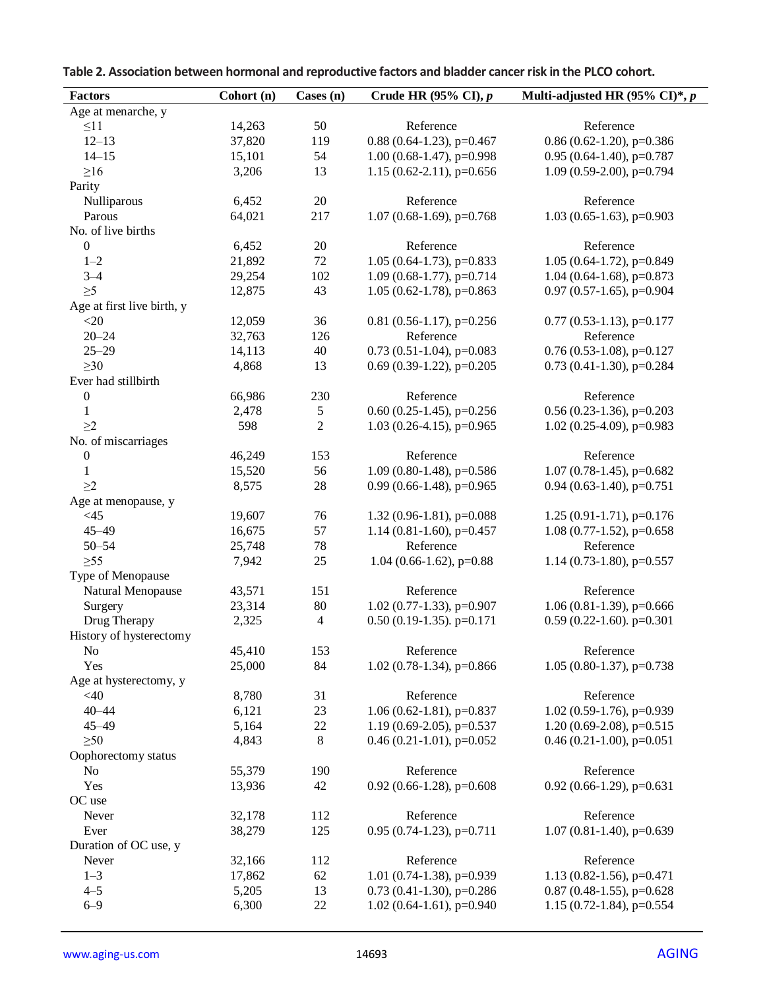| Table 2. Association between hormonal and reproductive factors and bladder cancer risk in the PLCO cohort. |
|------------------------------------------------------------------------------------------------------------|
|------------------------------------------------------------------------------------------------------------|

| <b>Factors</b>             | Cohort (n) | Cases (n)      | Crude HR $(95\% \text{ CI}), p$ | Multi-adjusted HR $(95\% \text{ CI})^*, p$ |
|----------------------------|------------|----------------|---------------------------------|--------------------------------------------|
| Age at menarche, y         |            |                |                                 |                                            |
| $\leq$ 11                  | 14,263     | 50             | Reference                       | Reference                                  |
| $12 - 13$                  | 37,820     | 119            | $0.88$ (0.64-1.23), p=0.467     | $0.86$ (0.62-1.20), p=0.386                |
| $14 - 15$                  | 15,101     | 54             | $1.00$ (0.68-1.47), p=0.998     | $0.95$ (0.64-1.40), p=0.787                |
| $\geq 16$                  | 3,206      | 13             | 1.15 (0.62-2.11), $p=0.656$     | 1.09 (0.59-2.00), $p=0.794$                |
| Parity                     |            |                |                                 |                                            |
| Nulliparous                | 6,452      | 20             | Reference                       | Reference                                  |
| Parous                     | 64,021     | 217            | $1.07$ (0.68-1.69), p=0.768     | $1.03$ (0.65-1.63), p=0.903                |
| No. of live births         |            |                |                                 |                                            |
| $\boldsymbol{0}$           | 6,452      | $20\,$         | Reference                       | Reference                                  |
| $1 - 2$                    | 21,892     | $72\,$         | $1.05(0.64-1.73), p=0.833$      | 1.05 (0.64-1.72), $p=0.849$                |
| $3 - 4$                    | 29,254     | 102            | $1.09$ (0.68-1.77), p=0.714     | 1.04 (0.64-1.68), $p=0.873$                |
| $\geq 5$                   | 12,875     | 43             | $1.05$ (0.62-1.78), p=0.863     | $0.97$ (0.57-1.65), p=0.904                |
| Age at first live birth, y |            |                |                                 |                                            |
| $<$ 20                     | 12,059     | 36             | $0.81$ (0.56-1.17), p=0.256     | $0.77$ (0.53-1.13), p=0.177                |
| $20 - 24$                  | 32,763     | 126            | Reference                       | Reference                                  |
| $25 - 29$                  | 14,113     | 40             | $0.73$ (0.51-1.04), p=0.083     | $0.76$ (0.53-1.08), p=0.127                |
| $\geq 30$                  | 4,868      | 13             | $0.69$ (0.39-1.22), p=0.205     | $0.73$ (0.41-1.30), p=0.284                |
| Ever had stillbirth        |            |                |                                 |                                            |
| $\boldsymbol{0}$           | 66,986     | 230            | Reference                       | Reference                                  |
| $\mathbf{1}$               | 2,478      | 5              | $0.60$ $(0.25-1.45)$ , p=0.256  | $0.56$ (0.23-1.36), p=0.203                |
| $\geq$ 2                   | 598        | $\overline{2}$ | $1.03$ (0.26-4.15), p=0.965     | $1.02$ (0.25-4.09), p=0.983                |
| No. of miscarriages        |            |                |                                 |                                            |
| $\boldsymbol{0}$           | 46,249     | 153            | Reference                       | Reference                                  |
| $\mathbf{1}$               | 15,520     | 56             | 1.09 (0.80-1.48), $p=0.586$     | $1.07$ (0.78-1.45), p=0.682                |
| $\geq$ 2                   | 8,575      | $28\,$         | $0.99$ (0.66-1.48), p=0.965     | $0.94$ (0.63-1.40), p=0.751                |
| Age at menopause, y        |            |                |                                 |                                            |
| $<45$                      | 19,607     | 76             | $1.32(0.96-1.81), p=0.088$      | $1.25(0.91-1.71), p=0.176$                 |
| $45 - 49$                  | 16,675     | 57             | 1.14 (0.81-1.60), $p=0.457$     | $1.08$ (0.77-1.52), p=0.658                |
| $50 - 54$                  | 25,748     | $78\,$         | Reference                       | Reference                                  |
| $\geq 55$                  | 7,942      | 25             | $1.04$ (0.66-1.62), p=0.88      | 1.14 (0.73-1.80), $p=0.557$                |
| Type of Menopause          |            |                |                                 |                                            |
| Natural Menopause          | 43,571     | 151            | Reference                       | Reference                                  |
| Surgery                    | 23,314     | $80\,$         | $1.02$ (0.77-1.33), p=0.907     | 1.06 (0.81-1.39), $p=0.666$                |
| Drug Therapy               | 2,325      | 4              | $0.50$ (0.19-1.35). p=0.171     | $0.59$ (0.22-1.60). p=0.301                |
| History of hysterectomy    |            |                |                                 |                                            |
| No                         | 45,410     | 153            | Reference                       | Reference                                  |
| Yes                        | 25,000     | 84             | $1.02$ (0.78-1.34), p=0.866     | 1.05 (0.80-1.37), $p=0.738$                |
| Age at hysterectomy, y     |            |                |                                 |                                            |
| $<$ 40                     | 8,780      | 31             | Reference                       | Reference                                  |
| $40 - 44$                  | 6,121      | 23             | $1.06(0.62-1.81), p=0.837$      | 1.02 (0.59-1.76), p=0.939                  |
| $45 - 49$                  | 5,164      | $22\,$         | 1.19 (0.69-2.05), $p=0.537$     | 1.20 (0.69-2.08), $p=0.515$                |
| $\geq 50$                  | 4,843      | $8\,$          | $0.46(0.21-1.01)$ , p= $0.052$  | $0.46$ (0.21-1.00), p=0.051                |
| Oophorectomy status        |            |                |                                 |                                            |
| No                         | 55,379     | 190            | Reference                       | Reference                                  |
| Yes                        | 13,936     | 42             | $0.92$ (0.66-1.28), p=0.608     | $0.92$ (0.66-1.29), p=0.631                |
| OC use                     |            |                |                                 |                                            |
| Never                      | 32,178     | 112            | Reference                       | Reference                                  |
| Ever                       | 38,279     | 125            | $0.95$ (0.74-1.23), p=0.711     | $1.07$ (0.81-1.40), p=0.639                |
| Duration of OC use, y      |            |                |                                 |                                            |
| Never                      | 32,166     | 112            | Reference                       | Reference                                  |
| $1 - 3$                    | 17,862     | 62             | 1.01 (0.74-1.38), $p=0.939$     | 1.13 (0.82-1.56), $p=0.471$                |
| $4 - 5$                    | 5,205      | 13             | $0.73$ (0.41-1.30), p=0.286     | $0.87$ (0.48-1.55), p=0.628                |
| $6 - 9$                    | 6,300      | $22\,$         | $1.02$ (0.64-1.61), p=0.940     | 1.15 (0.72-1.84), $p=0.554$                |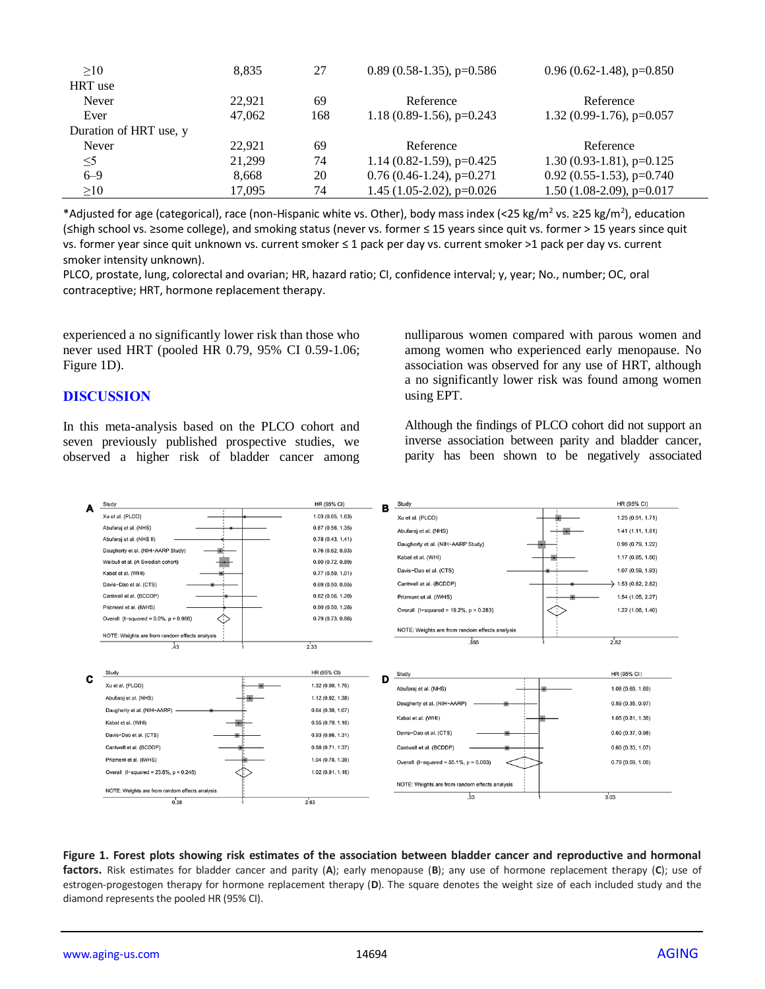| >10                    | 8.835  | 27  | $0.89(0.58-1.35)$ , p=0.586  | $0.96(0.62-1.48), p=0.850$   |
|------------------------|--------|-----|------------------------------|------------------------------|
| HRT use                |        |     |                              |                              |
| Never                  | 22.921 | 69  | Reference                    | Reference                    |
| Ever                   | 47,062 | 168 | 1.18 $(0.89-1.56)$ , p=0.243 | 1.32 $(0.99-1.76)$ , p=0.057 |
| Duration of HRT use, y |        |     |                              |                              |
| Never                  | 22.921 | 69  | Reference                    | Reference                    |
| $\leq$ 5               | 21.299 | 74  | 1.14 (0.82-1.59), $p=0.425$  | $1.30(0.93-1.81)$ , p=0.125  |
| $6 - 9$                | 8.668  | 20  | $0.76(0.46-1.24)$ , p=0.271  | $0.92$ (0.55-1.53), p=0.740  |
| $\geq 10$              | 17.095 | 74  | $1.45$ (1.05-2.02), p=0.026  | $1.50$ (1.08-2.09), p=0.017  |

\*Adjusted for age (categorical), race (non-Hispanic white vs. Other), body mass index (<25 kg/m<sup>2</sup> vs. ≥25 kg/m<sup>2</sup>), education (≤high school vs. ≥some college), and smoking status (never vs. former ≤ 15 years since quit vs. former > 15 years since quit vs. former year since quit unknown vs. current smoker ≤ 1 pack per day vs. current smoker >1 pack per day vs. current smoker intensity unknown).

PLCO, prostate, lung, colorectal and ovarian; HR, hazard ratio; CI, confidence interval; y, year; No., number; OC, oral contraceptive; HRT, hormone replacement therapy.

experienced a no significantly lower risk than those who never used HRT (pooled HR 0.79, 95% CI 0.59-1.06; Figure 1D).

#### **DISCUSSION**

In this meta-analysis based on the PLCO cohort and seven previously published prospective studies, we observed a higher risk of bladder cancer among nulliparous women compared with parous women and among women who experienced early menopause. No association was observed for any use of HRT, although a no significantly lower risk was found among women using EPT.

Although the findings of PLCO cohort did not support an inverse association between parity and bladder cancer, parity has been shown to be negatively associated



#### **Figure 1. Forest plots showing risk estimates of the association between bladder cancer and reproductive and hormonal factors.** Risk estimates for bladder cancer and parity (**A**); early menopause (**B**); any use of hormone replacement therapy (**C**); use of estrogen-progestogen therapy for hormone replacement therapy (**D**). The square denotes the weight size of each included study and the diamond represents the pooled HR (95% CI).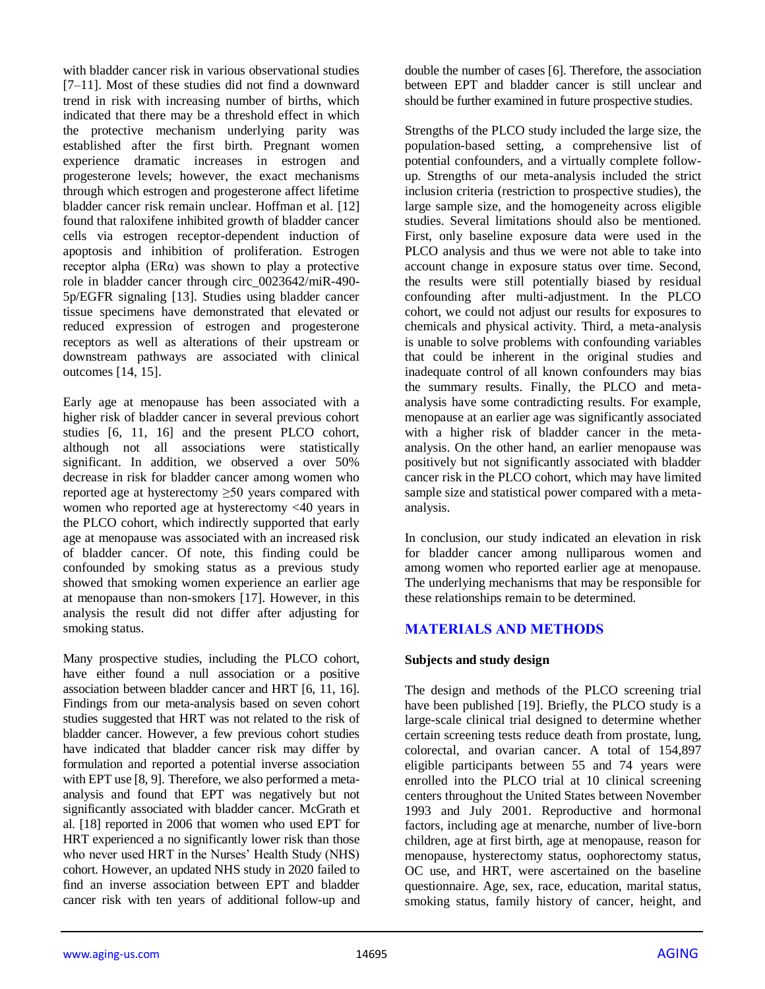with bladder cancer risk in various observational studies [7–11]. Most of these studies did not find a downward trend in risk with increasing number of births, which indicated that there may be a threshold effect in which the protective mechanism underlying parity was established after the first birth. Pregnant women experience dramatic increases in estrogen and progesterone levels; however, the exact mechanisms through which estrogen and progesterone affect lifetime bladder cancer risk remain unclear. Hoffman et al. [12] found that raloxifene inhibited growth of bladder cancer cells via estrogen receptor-dependent induction of apoptosis and inhibition of proliferation. Estrogen receptor alpha ( $ER\alpha$ ) was shown to play a protective role in bladder cancer through circ\_0023642/miR-490- 5p/EGFR signaling [13]. Studies using bladder cancer tissue specimens have demonstrated that elevated or reduced expression of estrogen and progesterone receptors as well as alterations of their upstream or downstream pathways are associated with clinical outcomes [14, 15].

Early age at menopause has been associated with a higher risk of bladder cancer in several previous cohort studies [6, 11, 16] and the present PLCO cohort, although not all associations were statistically significant. In addition, we observed a over 50% decrease in risk for bladder cancer among women who reported age at hysterectomy ≥50 years compared with women who reported age at hysterectomy <40 years in the PLCO cohort, which indirectly supported that early age at menopause was associated with an increased risk of bladder cancer. Of note, this finding could be confounded by smoking status as a previous study showed that smoking women experience an earlier age at menopause than non-smokers [17]. However, in this analysis the result did not differ after adjusting for smoking status.

Many prospective studies, including the PLCO cohort, have either found a null association or a positive association between bladder cancer and HRT [6, 11, 16]. Findings from our meta-analysis based on seven cohort studies suggested that HRT was not related to the risk of bladder cancer. However, a few previous cohort studies have indicated that bladder cancer risk may differ by formulation and reported a potential inverse association with EPT use [8, 9]. Therefore, we also performed a metaanalysis and found that EPT was negatively but not significantly associated with bladder cancer. McGrath et al. [18] reported in 2006 that women who used EPT for HRT experienced a no significantly lower risk than those who never used HRT in the Nurses' Health Study (NHS) cohort. However, an updated NHS study in 2020 failed to find an inverse association between EPT and bladder cancer risk with ten years of additional follow-up and

double the number of cases [6]. Therefore, the association between EPT and bladder cancer is still unclear and should be further examined in future prospective studies.

Strengths of the PLCO study included the large size, the population-based setting, a comprehensive list of potential confounders, and a virtually complete followup. Strengths of our meta-analysis included the strict inclusion criteria (restriction to prospective studies), the large sample size, and the homogeneity across eligible studies. Several limitations should also be mentioned. First, only baseline exposure data were used in the PLCO analysis and thus we were not able to take into account change in exposure status over time. Second, the results were still potentially biased by residual confounding after multi-adjustment. In the PLCO cohort, we could not adjust our results for exposures to chemicals and physical activity. Third, a meta-analysis is unable to solve problems with confounding variables that could be inherent in the original studies and inadequate control of all known confounders may bias the summary results. Finally, the PLCO and metaanalysis have some contradicting results. For example, menopause at an earlier age was significantly associated with a higher risk of bladder cancer in the metaanalysis. On the other hand, an earlier menopause was positively but not significantly associated with bladder cancer risk in the PLCO cohort, which may have limited sample size and statistical power compared with a metaanalysis.

In conclusion, our study indicated an elevation in risk for bladder cancer among nulliparous women and among women who reported earlier age at menopause. The underlying mechanisms that may be responsible for these relationships remain to be determined.

# **MATERIALS AND METHODS**

## **Subjects and study design**

The design and methods of the PLCO screening trial have been published [19]. Briefly, the PLCO study is a large-scale clinical trial designed to determine whether certain screening tests reduce death from prostate, lung, colorectal, and ovarian cancer. A total of 154,897 eligible participants between 55 and 74 years were enrolled into the PLCO trial at 10 clinical screening centers throughout the United States between November 1993 and July 2001. Reproductive and hormonal factors, including age at menarche, number of live-born children, age at first birth, age at menopause, reason for menopause, hysterectomy status, oophorectomy status, OC use, and HRT, were ascertained on the baseline questionnaire. Age, sex, race, education, marital status, smoking status, family history of cancer, height, and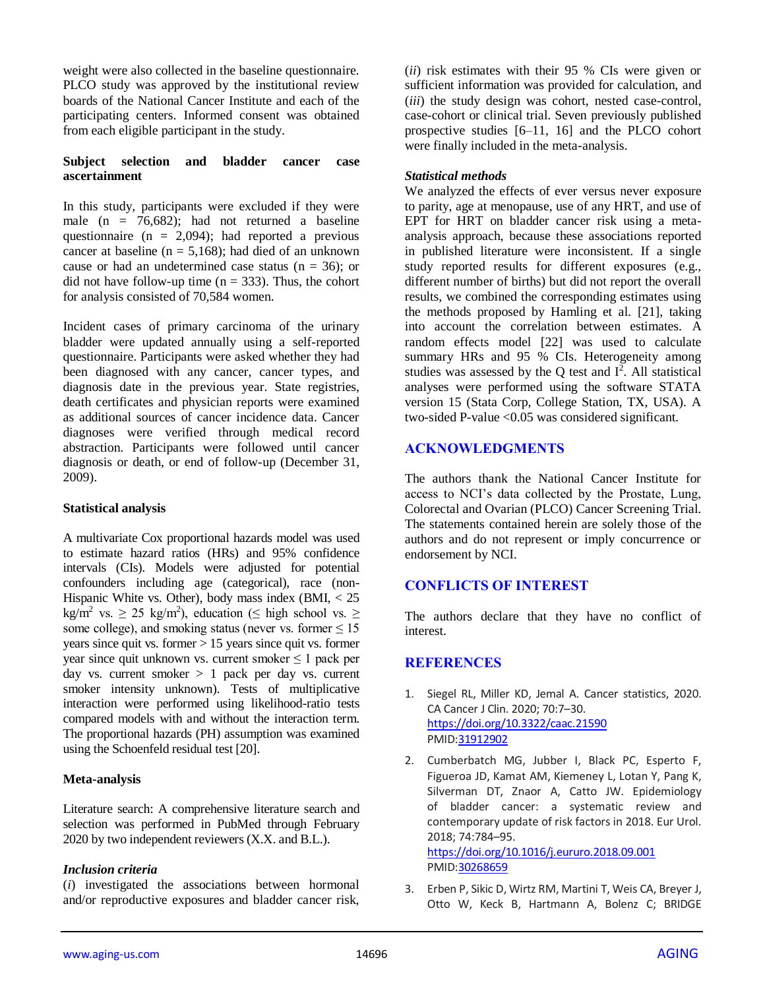weight were also collected in the baseline questionnaire. PLCO study was approved by the institutional review boards of the National Cancer Institute and each of the participating centers. Informed consent was obtained from each eligible participant in the study.

#### **Subject selection and bladder cancer case ascertainment**

In this study, participants were excluded if they were male  $(n = 76,682)$ ; had not returned a baseline questionnaire ( $n = 2,094$ ); had reported a previous cancer at baseline ( $n = 5,168$ ); had died of an unknown cause or had an undetermined case status ( $n = 36$ ); or did not have follow-up time  $(n = 333)$ . Thus, the cohort for analysis consisted of 70,584 women.

Incident cases of primary carcinoma of the urinary bladder were updated annually using a self-reported questionnaire. Participants were asked whether they had been diagnosed with any cancer, cancer types, and diagnosis date in the previous year. State registries, death certificates and physician reports were examined as additional sources of cancer incidence data. Cancer diagnoses were verified through medical record abstraction. Participants were followed until cancer diagnosis or death, or end of follow-up (December 31, 2009).

#### **Statistical analysis**

A multivariate Cox proportional hazards model was used to estimate hazard ratios (HRs) and 95% confidence intervals (CIs). Models were adjusted for potential confounders including age (categorical), race (non-Hispanic White vs. Other), body mass index  $(BMI, < 25)$ kg/m<sup>2</sup> vs.  $\geq$  25 kg/m<sup>2</sup>), education ( $\leq$  high school vs.  $\geq$ some college), and smoking status (never vs. former  $\leq 15$ ) years since quit vs. former > 15 years since quit vs. former year since quit unknown vs. current smoker  $\leq 1$  pack per day vs. current smoker > 1 pack per day vs. current smoker intensity unknown). Tests of multiplicative interaction were performed using likelihood-ratio tests compared models with and without the interaction term. The proportional hazards (PH) assumption was examined using the Schoenfeld residual test [20].

## **Meta-analysis**

Literature search: A comprehensive literature search and selection was performed in PubMed through February 2020 by two independent reviewers (X.X. and B.L.).

## *Inclusion criteria*

(*i*) investigated the associations between hormonal and/or reproductive exposures and bladder cancer risk, (*ii*) risk estimates with their 95 % CIs were given or sufficient information was provided for calculation, and (*iii*) the study design was cohort, nested case-control, case-cohort or clinical trial. Seven previously published prospective studies [6–11, 16] and the PLCO cohort were finally included in the meta-analysis.

## *Statistical methods*

We analyzed the effects of ever versus never exposure to parity, age at menopause, use of any HRT, and use of EPT for HRT on bladder cancer risk using a metaanalysis approach, because these associations reported in published literature were inconsistent. If a single study reported results for different exposures (e.g., different number of births) but did not report the overall results, we combined the corresponding estimates using the methods proposed by Hamling et al. [21], taking into account the correlation between estimates. A random effects model [22] was used to calculate summary HRs and 95 % CIs. Heterogeneity among studies was assessed by the  $Q$  test and  $I^2$ . All statistical analyses were performed using the software STATA version 15 (Stata Corp, College Station, TX, USA). A two-sided P-value <0.05 was considered significant.

# **ACKNOWLEDGMENTS**

The authors thank the National Cancer Institute for access to NCI's data collected by the Prostate, Lung, Colorectal and Ovarian (PLCO) Cancer Screening Trial. The statements contained herein are solely those of the authors and do not represent or imply concurrence or endorsement by NCI.

# **CONFLICTS OF INTEREST**

The authors declare that they have no conflict of interest.

# **REFERENCES**

- 1. Siegel RL, Miller KD, Jemal A. Cancer statistics, 2020. CA Cancer J Clin. 2020; 70:7–30. <https://doi.org/10.3322/caac.21590> PMI[D:31912902](https://pubmed.ncbi.nlm.nih.gov/31912902)
- 2. Cumberbatch MG, Jubber I, Black PC, Esperto F, Figueroa JD, Kamat AM, Kiemeney L, Lotan Y, Pang K, Silverman DT, Znaor A, Catto JW. Epidemiology of bladder cancer: a systematic review and contemporary update of risk factors in 2018. Eur Urol. 2018; 74:784–95.

<https://doi.org/10.1016/j.eururo.2018.09.001> PMI[D:30268659](https://pubmed.ncbi.nlm.nih.gov/30268659)

3. Erben P, Sikic D, Wirtz RM, Martini T, Weis CA, Breyer J, Otto W, Keck B, Hartmann A, Bolenz C; BRIDGE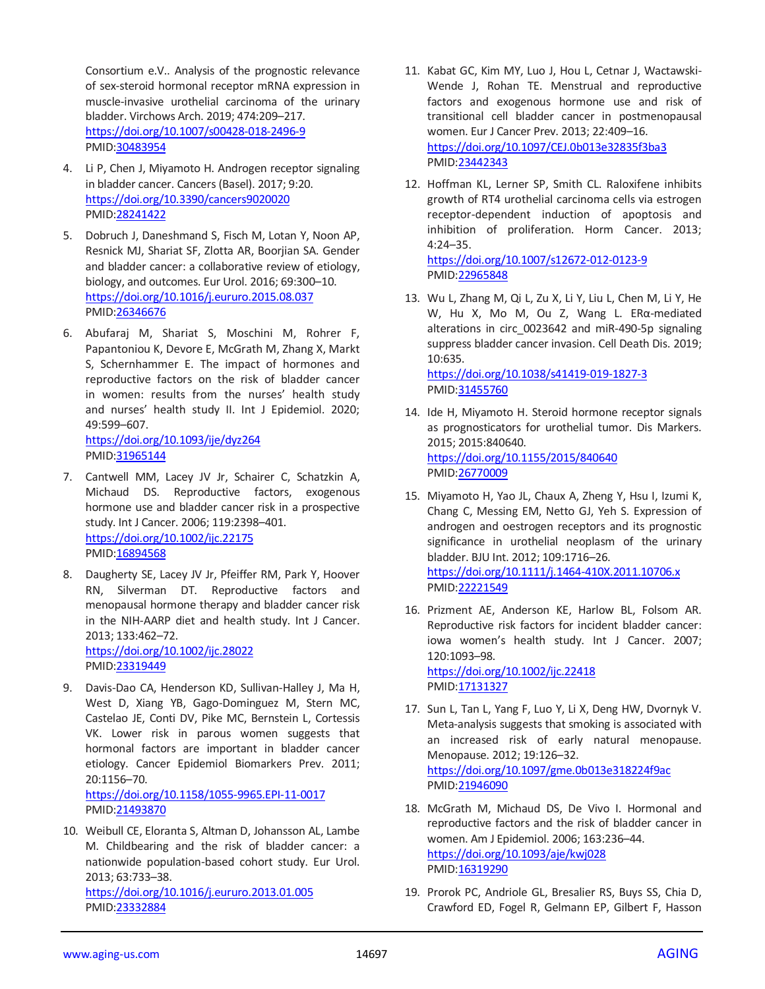Consortium e.V.. Analysis of the prognostic relevance of sex-steroid hormonal receptor mRNA expression in muscle-invasive urothelial carcinoma of the urinary bladder. Virchows Arch. 2019; 474:209–217. <https://doi.org/10.1007/s00428-018-2496-9> PMID[:30483954](https://pubmed.ncbi.nlm.nih.gov/30483954)

- 4. Li P, Chen J, Miyamoto H. Androgen receptor signaling in bladder cancer. Cancers (Basel). 2017; 9:20. <https://doi.org/10.3390/cancers9020020> PMID[:28241422](https://pubmed.ncbi.nlm.nih.gov/28241422)
- 5. Dobruch J, Daneshmand S, Fisch M, Lotan Y, Noon AP, Resnick MJ, Shariat SF, Zlotta AR, Boorjian SA. Gender and bladder cancer: a collaborative review of etiology, biology, and outcomes. Eur Urol. 2016; 69:300–10. <https://doi.org/10.1016/j.eururo.2015.08.037> PMID[:26346676](https://pubmed.ncbi.nlm.nih.gov/26346676)
- 6. Abufaraj M, Shariat S, Moschini M, Rohrer F, Papantoniou K, Devore E, McGrath M, Zhang X, Markt S, Schernhammer E. The impact of hormones and reproductive factors on the risk of bladder cancer in women: results from the nurses' health study and nurses' health study II. Int J Epidemiol. 2020; 49:599–607. <https://doi.org/10.1093/ije/dyz264>

PMID[:31965144](https://pubmed.ncbi.nlm.nih.gov/31965144)

- 7. Cantwell MM, Lacey JV Jr, Schairer C, Schatzkin A, Michaud DS. Reproductive factors, exogenous hormone use and bladder cancer risk in a prospective study. Int J Cancer. 2006; 119:2398–401. <https://doi.org/10.1002/ijc.22175> PMID[:16894568](https://pubmed.ncbi.nlm.nih.gov/16894568)
- 8. Daugherty SE, Lacey JV Jr, Pfeiffer RM, Park Y, Hoover RN, Silverman DT. Reproductive factors and menopausal hormone therapy and bladder cancer risk in the NIH-AARP diet and health study. Int J Cancer. 2013; 133:462–72. <https://doi.org/10.1002/ijc.28022>

PMID[:23319449](https://pubmed.ncbi.nlm.nih.gov/23319449)

9. Davis-Dao CA, Henderson KD, Sullivan-Halley J, Ma H, West D, Xiang YB, Gago-Dominguez M, Stern MC, Castelao JE, Conti DV, Pike MC, Bernstein L, Cortessis VK. Lower risk in parous women suggests that hormonal factors are important in bladder cancer etiology. Cancer Epidemiol Biomarkers Prev. 2011; 20:1156–70.

<https://doi.org/10.1158/1055-9965.EPI-11-0017> PMID[:21493870](https://pubmed.ncbi.nlm.nih.gov/21493870)

10. Weibull CE, Eloranta S, Altman D, Johansson AL, Lambe M. Childbearing and the risk of bladder cancer: a nationwide population-based cohort study. Eur Urol. 2013; 63:733–38. <https://doi.org/10.1016/j.eururo.2013.01.005> PMID[:23332884](https://pubmed.ncbi.nlm.nih.gov/23332884)

- 11. Kabat GC, Kim MY, Luo J, Hou L, Cetnar J, Wactawski-Wende J, Rohan TE. Menstrual and reproductive factors and exogenous hormone use and risk of transitional cell bladder cancer in postmenopausal women. Eur J Cancer Prev. 2013; 22:409–16. <https://doi.org/10.1097/CEJ.0b013e32835f3ba3> PMI[D:23442343](https://pubmed.ncbi.nlm.nih.gov/23442343)
- 12. Hoffman KL, Lerner SP, Smith CL. Raloxifene inhibits growth of RT4 urothelial carcinoma cells via estrogen receptor-dependent induction of apoptosis and inhibition of proliferation. Horm Cancer. 2013; 4:24–35.

<https://doi.org/10.1007/s12672-012-0123-9> PMI[D:22965848](https://pubmed.ncbi.nlm.nih.gov/22965848)

- 13. Wu L, Zhang M, Qi L, Zu X, Li Y, Liu L, Chen M, Li Y, He W, Hu X, Mo M, Ou Z, Wang L. ERα-mediated alterations in circ\_0023642 and miR-490-5p signaling suppress bladder cancer invasion. Cell Death Dis. 2019; 10:635. <https://doi.org/10.1038/s41419-019-1827-3> PMI[D:31455760](https://pubmed.ncbi.nlm.nih.gov/31455760)
- 14. Ide H, Miyamoto H. Steroid hormone receptor signals as prognosticators for urothelial tumor. Dis Markers. 2015; 2015:840640. <https://doi.org/10.1155/2015/840640> PMI[D:26770009](https://pubmed.ncbi.nlm.nih.gov/26770009)
- 15. Miyamoto H, Yao JL, Chaux A, Zheng Y, Hsu I, Izumi K, Chang C, Messing EM, Netto GJ, Yeh S. Expression of androgen and oestrogen receptors and its prognostic significance in urothelial neoplasm of the urinary bladder. BJU Int. 2012; 109:1716–26. <https://doi.org/10.1111/j.1464-410X.2011.10706.x> PMI[D:22221549](https://pubmed.ncbi.nlm.nih.gov/22221549)
- 16. Prizment AE, Anderson KE, Harlow BL, Folsom AR. Reproductive risk factors for incident bladder cancer: iowa women's health study. Int J Cancer. 2007; 120:1093–98. <https://doi.org/10.1002/ijc.22418> PMI[D:17131327](https://pubmed.ncbi.nlm.nih.gov/17131327)
- 17. Sun L, Tan L, Yang F, Luo Y, Li X, Deng HW, Dvornyk V. Meta-analysis suggests that smoking is associated with an increased risk of early natural menopause. Menopause. 2012; 19:126–32. <https://doi.org/10.1097/gme.0b013e318224f9ac> PMI[D:21946090](https://pubmed.ncbi.nlm.nih.gov/21946090)
- 18. McGrath M, Michaud DS, De Vivo I. Hormonal and reproductive factors and the risk of bladder cancer in women. Am J Epidemiol. 2006; 163:236–44. <https://doi.org/10.1093/aje/kwj028> PMI[D:16319290](https://pubmed.ncbi.nlm.nih.gov/16319290)
- 19. Prorok PC, Andriole GL, Bresalier RS, Buys SS, Chia D, Crawford ED, Fogel R, Gelmann EP, Gilbert F, Hasson